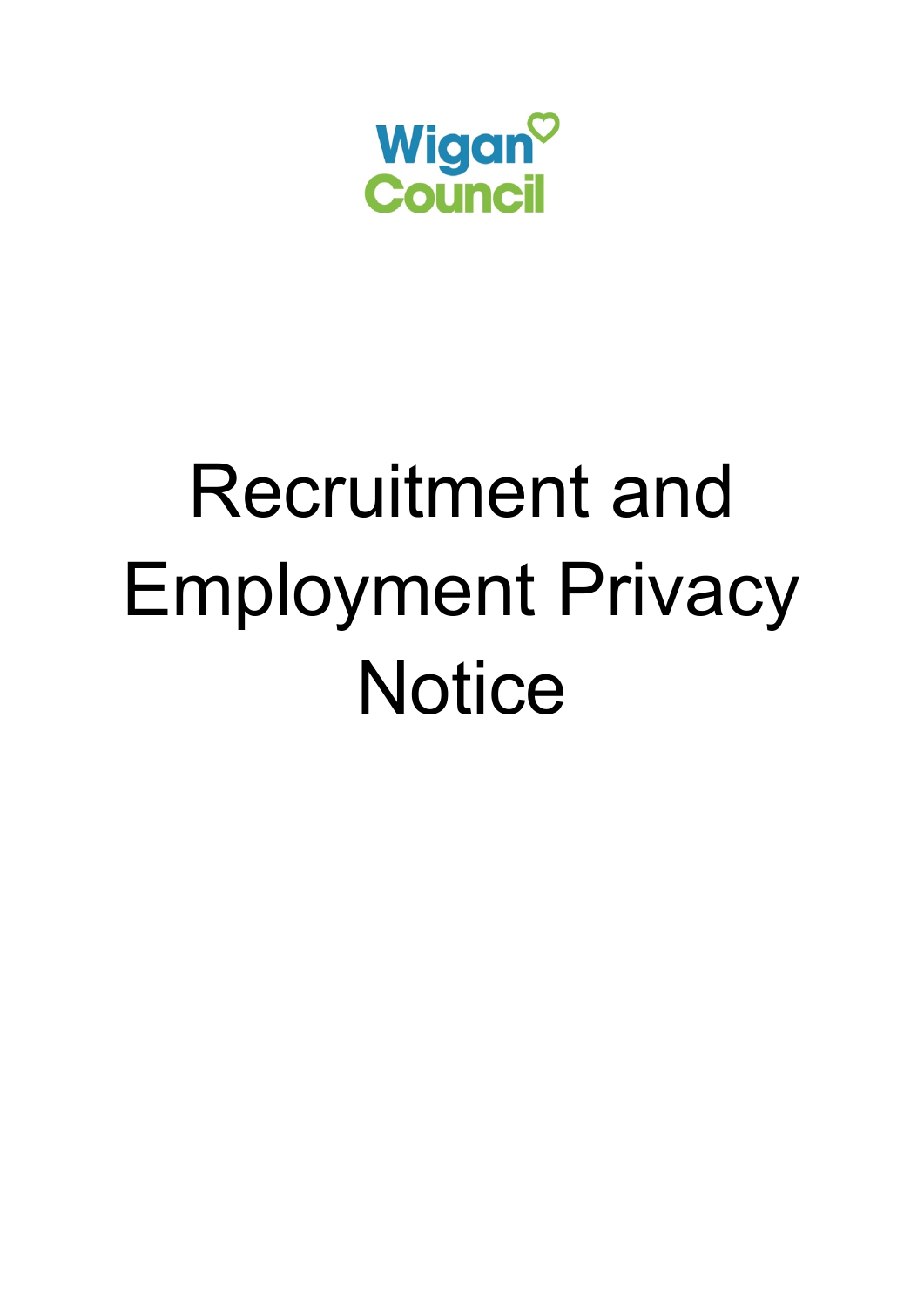

# Recruitment and Employment Privacy **Notice**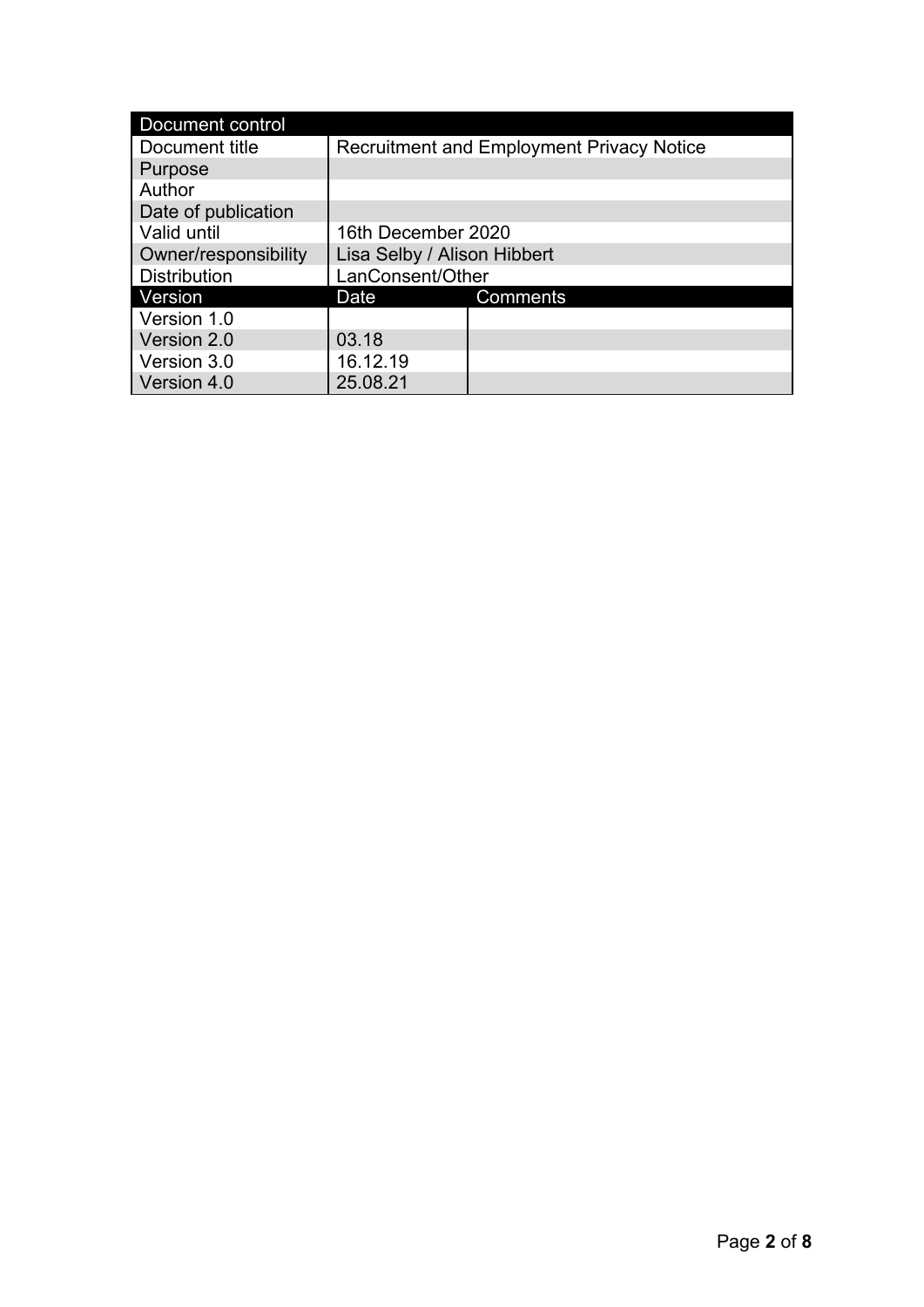| Document control     |                                                  |          |
|----------------------|--------------------------------------------------|----------|
| Document title       | <b>Recruitment and Employment Privacy Notice</b> |          |
| Purpose              |                                                  |          |
| Author               |                                                  |          |
| Date of publication  |                                                  |          |
| Valid until          | 16th December 2020                               |          |
| Owner/responsibility | Lisa Selby / Alison Hibbert                      |          |
| <b>Distribution</b>  | LanConsent/Other                                 |          |
| Version              | Date                                             | Comments |
| Version 1.0          |                                                  |          |
| Version 2.0          | 03.18                                            |          |
| Version 3.0          | 16.12.19                                         |          |
| Version 4.0          | 25.08.21                                         |          |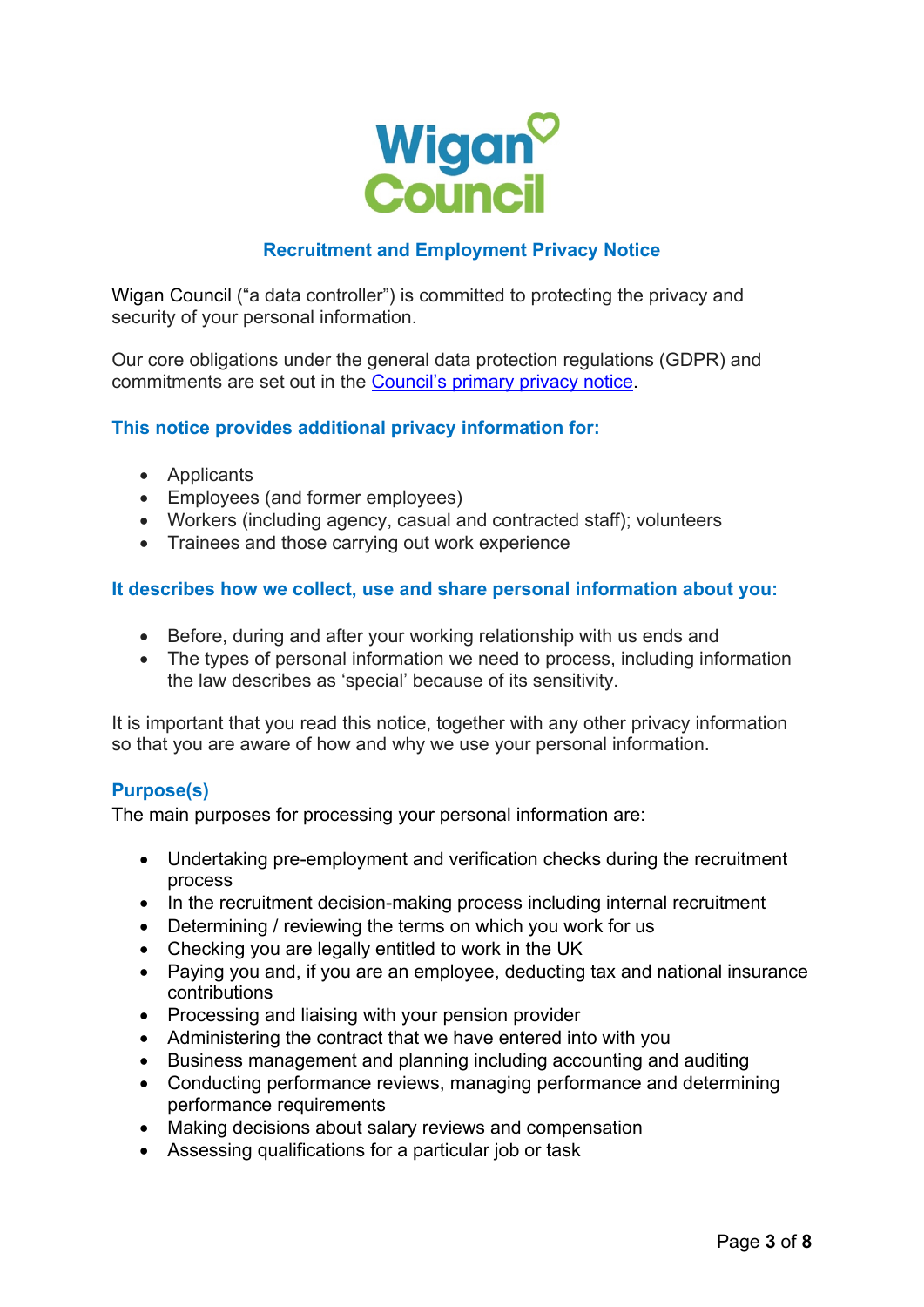

# **Recruitment and Employment Privacy Notice**

Wigan Council ("a data controller") is committed to protecting the privacy and security of your personal information.

Our core obligations under the general data protection regulations (GDPR) and commitments are set out in the [Council's primary privacy notice.](https://www.wigan.gov.uk/privacynotices)

# **This notice provides additional privacy information for:**

- Applicants
- Employees (and former employees)
- Workers (including agency, casual and contracted staff); volunteers
- Trainees and those carrying out work experience

# **It describes how we collect, use and share personal information about you:**

- Before, during and after your working relationship with us ends and
- The types of personal information we need to process, including information the law describes as 'special' because of its sensitivity.

It is important that you read this notice, together with any other privacy information so that you are aware of how and why we use your personal information.

#### **Purpose(s)**

The main purposes for processing your personal information are:

- Undertaking pre-employment and verification checks during the recruitment process
- In the recruitment decision-making process including internal recruitment
- Determining / reviewing the terms on which you work for us
- Checking you are legally entitled to work in the UK
- Paying you and, if you are an employee, deducting tax and national insurance contributions
- Processing and liaising with your pension provider
- Administering the contract that we have entered into with you
- Business management and planning including accounting and auditing
- Conducting performance reviews, managing performance and determining performance requirements
- Making decisions about salary reviews and compensation
- Assessing qualifications for a particular job or task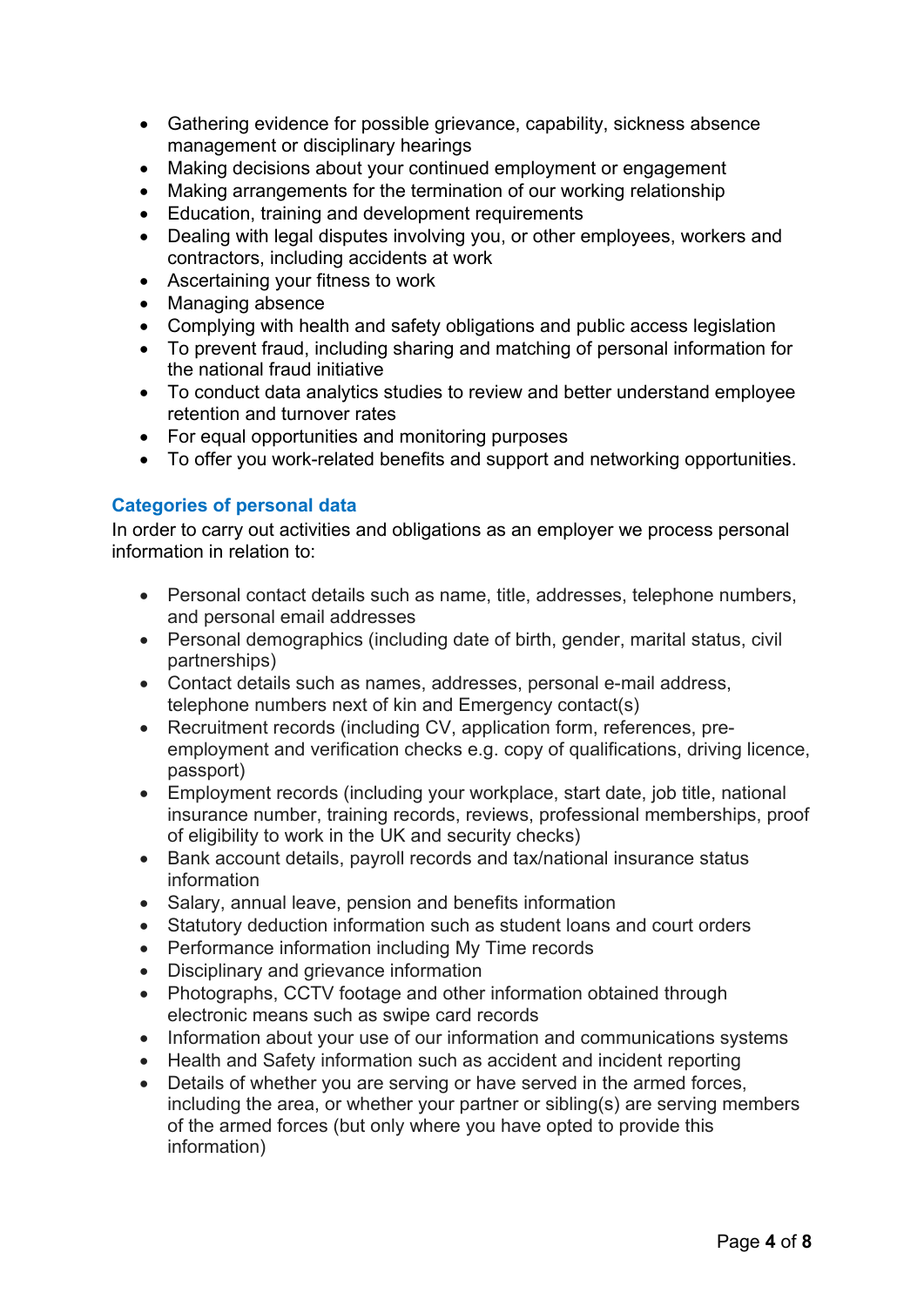- Gathering evidence for possible grievance, capability, sickness absence management or disciplinary hearings
- Making decisions about your continued employment or engagement
- Making arrangements for the termination of our working relationship
- Education, training and development requirements
- Dealing with legal disputes involving you, or other employees, workers and contractors, including accidents at work
- Ascertaining your fitness to work
- Managing absence
- Complying with health and safety obligations and public access legislation
- To prevent fraud, including sharing and matching of personal information for the national fraud initiative
- To conduct data analytics studies to review and better understand employee retention and turnover rates
- For equal opportunities and monitoring purposes
- To offer you work-related benefits and support and networking opportunities.

# **Categories of personal data**

In order to carry out activities and obligations as an employer we process personal information in relation to:

- Personal contact details such as name, title, addresses, telephone numbers, and personal email addresses
- Personal demographics (including date of birth, gender, marital status, civil partnerships)
- Contact details such as names, addresses, personal e-mail address, telephone numbers next of kin and Emergency contact(s)
- Recruitment records (including CV, application form, references, preemployment and verification checks e.g. copy of qualifications, driving licence, passport)
- Employment records (including your workplace, start date, job title, national insurance number, training records, reviews, professional memberships, proof of eligibility to work in the UK and security checks)
- Bank account details, payroll records and tax/national insurance status information
- Salary, annual leave, pension and benefits information
- Statutory deduction information such as student loans and court orders
- Performance information including My Time records
- Disciplinary and grievance information
- Photographs, CCTV footage and other information obtained through electronic means such as swipe card records
- Information about your use of our information and communications systems
- Health and Safety information such as accident and incident reporting
- Details of whether you are serving or have served in the armed forces, including the area, or whether your partner or sibling(s) are serving members of the armed forces (but only where you have opted to provide this information)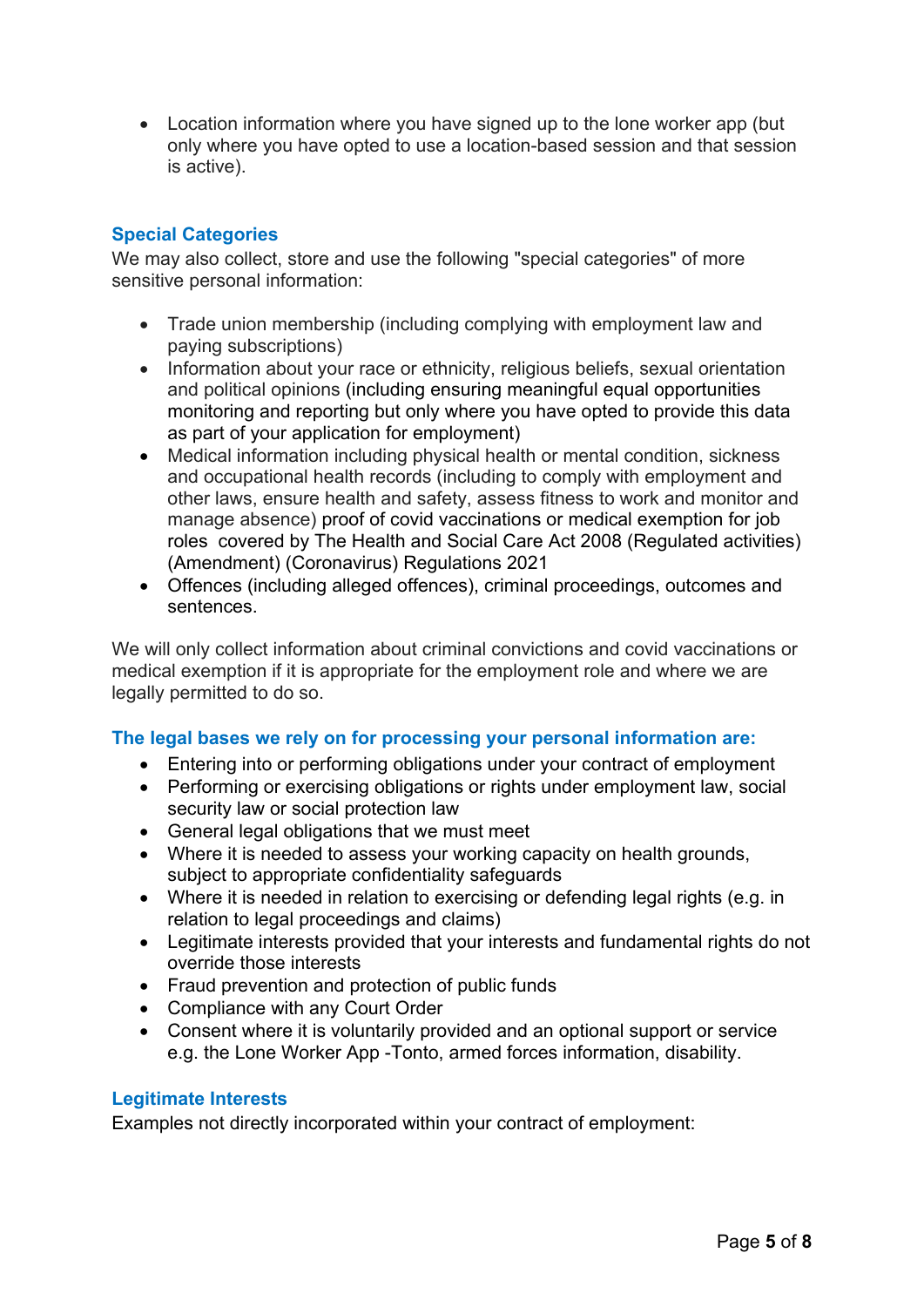• Location information where you have signed up to the lone worker app (but only where you have opted to use a location-based session and that session is active).

# **Special Categories**

We may also collect, store and use the following "special categories" of more sensitive personal information:

- Trade union membership (including complying with employment law and paying subscriptions)
- Information about your race or ethnicity, religious beliefs, sexual orientation and political opinions (including ensuring meaningful equal opportunities monitoring and reporting but only where you have opted to provide this data as part of your application for employment)
- Medical information including physical health or mental condition, sickness and occupational health records (including to comply with employment and other laws, ensure health and safety, assess fitness to work and monitor and manage absence) proof of covid vaccinations or medical exemption for job roles covered by The Health and Social Care Act 2008 (Regulated activities) (Amendment) (Coronavirus) Regulations 2021
- Offences (including alleged offences), criminal proceedings, outcomes and sentences.

We will only collect information about criminal convictions and covid vaccinations or medical exemption if it is appropriate for the employment role and where we are legally permitted to do so.

#### **The legal bases we rely on for processing your personal information are:**

- Entering into or performing obligations under your contract of employment
- security law or social protection law • Performing or exercising obligations or rights under employment law, social
- General legal obligations that we must meet
- Where it is needed to assess your working capacity on health grounds, subject to appropriate confidentiality safeguards
- Where it is needed in relation to exercising or defending legal rights (e.g. in relation to legal proceedings and claims)
- Legitimate interests provided that your interests and fundamental rights do not override those interests
- Fraud prevention and protection of public funds
- Compliance with any Court Order
- Consent where it is voluntarily provided and an optional support or service e.g. the Lone Worker App -Tonto, armed forces information, disability.

#### **Legitimate Interests**

Examples not directly incorporated within your contract of employment: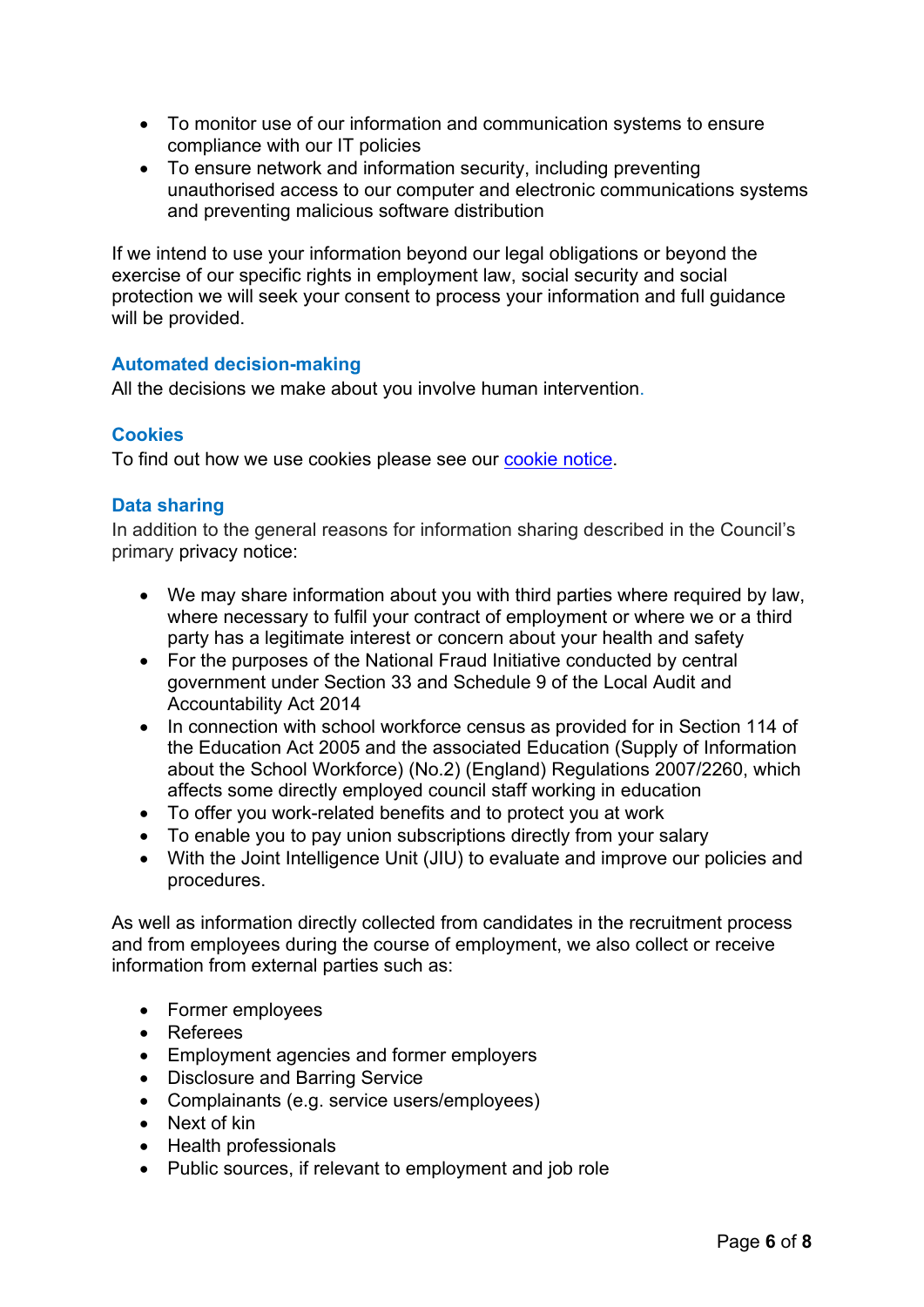- To monitor use of our information and communication systems to ensure compliance with our IT policies
- To ensure network and information security, including preventing unauthorised access to our computer and electronic communications systems and preventing malicious software distribution

 If we intend to use your information beyond our legal obligations or beyond the exercise of our specific rights in employment law, social security and social protection we will seek your consent to process your information and full guidance will be provided.

# **Automated decision-making**

All the decisions we make about you involve human intervention.

# **Cookies**

To find out how we use cookies please see our [cookie notice.](https://www.wigan.gov.uk/cookiespolicy)

# **Data sharing**

In addition to the general reasons for information sharing described in the Council's primary privacy notice:

- party has a legitimate interest or concern about your health and safety • We may share information about you with third parties where required by law, where necessary to fulfil your contract of employment or where we or a third
- • For the purposes of the National Fraud Initiative conducted by central government under Section 33 and Schedule 9 of the Local Audit and Accountability Act 2014
- In connection with school workforce census as provided for in Section 114 of the Education Act 2005 and the associated Education (Supply of Information about the School Workforce) (No.2) (England) Regulations 2007/2260, which affects some directly employed council staff working in education
- To offer you work-related benefits and to protect you at work
- To enable you to pay union subscriptions directly from your salary
- With the Joint Intelligence Unit (JIU) to evaluate and improve our policies and procedures.

As well as information directly collected from candidates in the recruitment process and from employees during the course of employment, we also collect or receive information from external parties such as:

- Former employees
- Referees
- Employment agencies and former employers
- Disclosure and Barring Service
- Complainants (e.g. service users/employees)
- Next of kin
- Health professionals
- Public sources, if relevant to employment and job role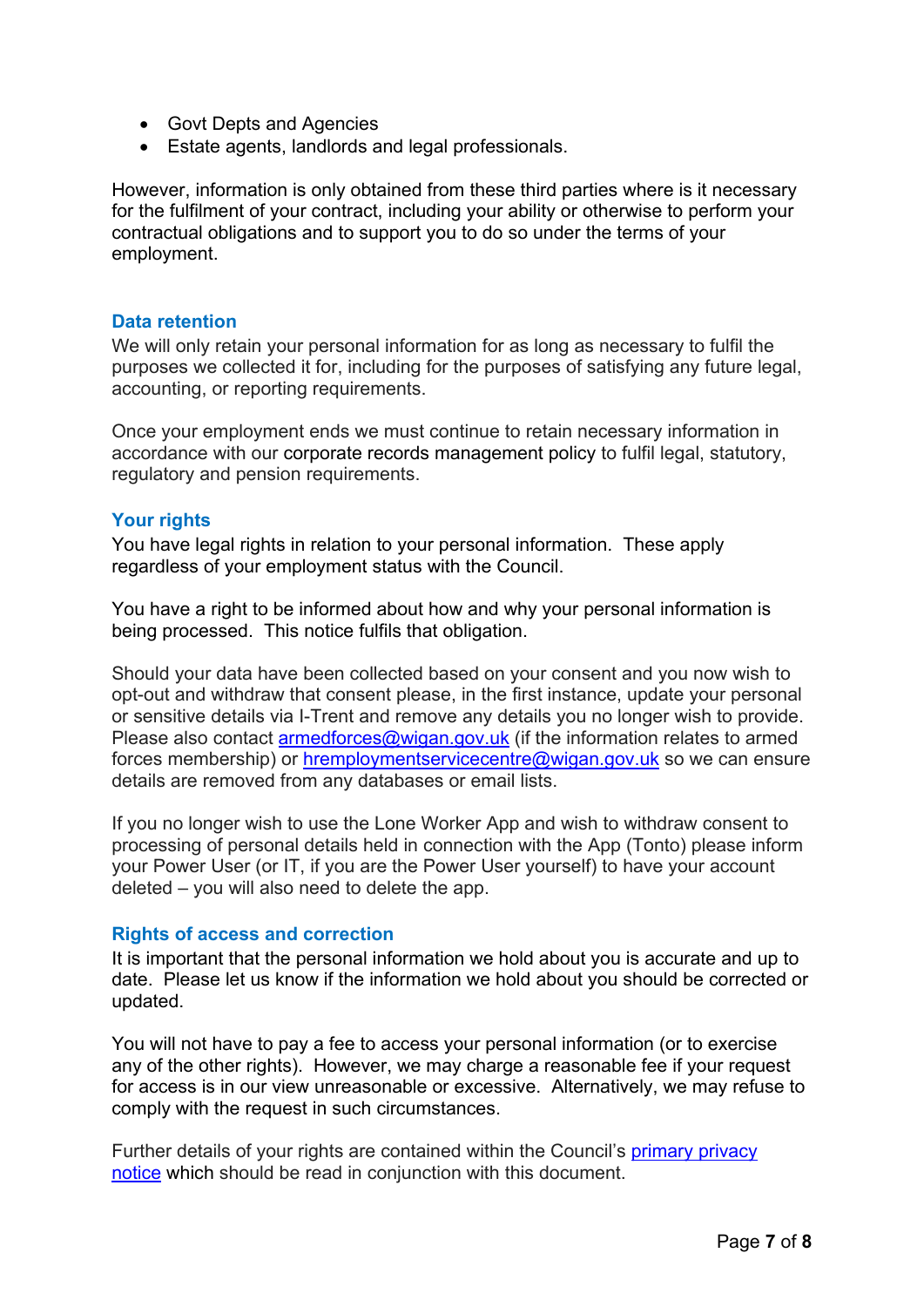- Govt Depts and Agencies
- Estate agents, landlords and legal professionals.

 for the fulfilment of your contract, including your ability or otherwise to perform your contractual obligations and to support you to do so under the terms of your However, information is only obtained from these third parties where is it necessary employment.

#### **Data retention**

We will only retain your personal information for as long as necessary to fulfil the purposes we collected it for, including for the purposes of satisfying any future legal, accounting, or reporting requirements.

Once your employment ends we must continue to retain necessary information in accordance with our corporate records management policy to fulfil legal, statutory, regulatory and pension requirements.

#### **Your rights**

You have legal rights in relation to your personal information. These apply regardless of your employment status with the Council.

You have a right to be informed about how and why your personal information is being processed. This notice fulfils that obligation.

forces membership) or <u>hremploymentservicecentre@wigan.gov.uk</u> so we can ensure Should your data have been collected based on your consent and you now wish to opt-out and withdraw that consent please, in the first instance, update your personal or sensitive details via I-Trent and remove any details you no longer wish to provide. Please also contact [armedforces@wigan.gov.uk](mailto:armedforces@wigan.gov.uk) (if the information relates to armed details are removed from any databases or email lists.

If you no longer wish to use the Lone Worker App and wish to withdraw consent to processing of personal details held in connection with the App (Tonto) please inform your Power User (or IT, if you are the Power User yourself) to have your account deleted – you will also need to delete the app.

#### **Rights of access and correction**

It is important that the personal information we hold about you is accurate and up to date. Please let us know if the information we hold about you should be corrected or updated.

You will not have to pay a fee to access your personal information (or to exercise any of the other rights). However, we may charge a reasonable fee if your request for access is in our view unreasonable or excessive. Alternatively, we may refuse to comply with the request in such circumstances.

Further details of your rights are contained within the Council's **primary privacy** [notice](https://www.wigan.gov.uk/privacynotices) which should be read in conjunction with this document.